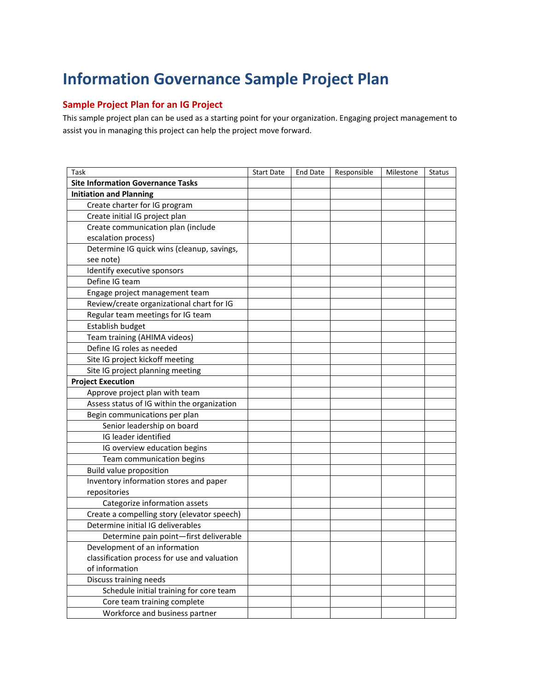# **Information Governance Sample Project Plan**

## **Sample Project Plan for an IG Project**

This sample project plan can be used as a starting point for your organization. Engaging project management to assist you in managing this project can help the project move forward.

| Task                                         | <b>Start Date</b> | <b>End Date</b> | Responsible | Milestone | <b>Status</b> |
|----------------------------------------------|-------------------|-----------------|-------------|-----------|---------------|
| <b>Site Information Governance Tasks</b>     |                   |                 |             |           |               |
| <b>Initiation and Planning</b>               |                   |                 |             |           |               |
| Create charter for IG program                |                   |                 |             |           |               |
| Create initial IG project plan               |                   |                 |             |           |               |
| Create communication plan (include           |                   |                 |             |           |               |
| escalation process)                          |                   |                 |             |           |               |
| Determine IG quick wins (cleanup, savings,   |                   |                 |             |           |               |
| see note)                                    |                   |                 |             |           |               |
| Identify executive sponsors                  |                   |                 |             |           |               |
| Define IG team                               |                   |                 |             |           |               |
| Engage project management team               |                   |                 |             |           |               |
| Review/create organizational chart for IG    |                   |                 |             |           |               |
| Regular team meetings for IG team            |                   |                 |             |           |               |
| Establish budget                             |                   |                 |             |           |               |
| Team training (AHIMA videos)                 |                   |                 |             |           |               |
| Define IG roles as needed                    |                   |                 |             |           |               |
| Site IG project kickoff meeting              |                   |                 |             |           |               |
| Site IG project planning meeting             |                   |                 |             |           |               |
| <b>Project Execution</b>                     |                   |                 |             |           |               |
| Approve project plan with team               |                   |                 |             |           |               |
| Assess status of IG within the organization  |                   |                 |             |           |               |
| Begin communications per plan                |                   |                 |             |           |               |
| Senior leadership on board                   |                   |                 |             |           |               |
| IG leader identified                         |                   |                 |             |           |               |
| IG overview education begins                 |                   |                 |             |           |               |
| Team communication begins                    |                   |                 |             |           |               |
| <b>Build value proposition</b>               |                   |                 |             |           |               |
| Inventory information stores and paper       |                   |                 |             |           |               |
| repositories                                 |                   |                 |             |           |               |
| Categorize information assets                |                   |                 |             |           |               |
| Create a compelling story (elevator speech)  |                   |                 |             |           |               |
| Determine initial IG deliverables            |                   |                 |             |           |               |
| Determine pain point-first deliverable       |                   |                 |             |           |               |
| Development of an information                |                   |                 |             |           |               |
| classification process for use and valuation |                   |                 |             |           |               |
| of information                               |                   |                 |             |           |               |
| Discuss training needs                       |                   |                 |             |           |               |
| Schedule initial training for core team      |                   |                 |             |           |               |
| Core team training complete                  |                   |                 |             |           |               |
| Workforce and business partner               |                   |                 |             |           |               |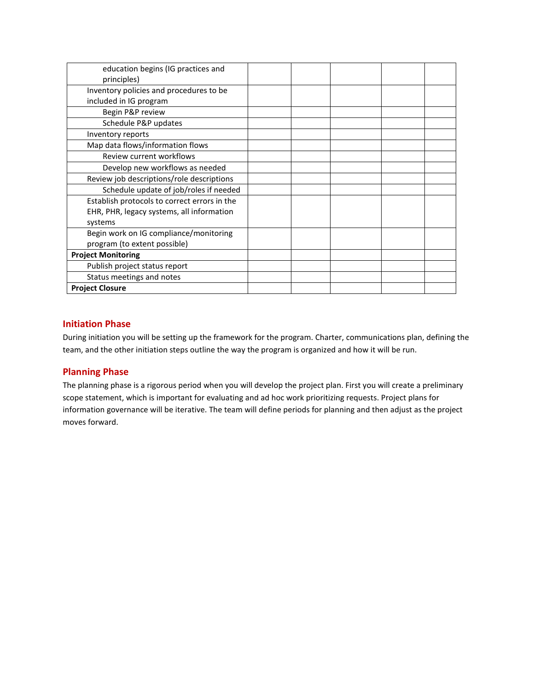| education begins (IG practices and           |  |  |  |
|----------------------------------------------|--|--|--|
| principles)                                  |  |  |  |
| Inventory policies and procedures to be      |  |  |  |
| included in IG program                       |  |  |  |
| Begin P&P review                             |  |  |  |
| Schedule P&P updates                         |  |  |  |
| Inventory reports                            |  |  |  |
| Map data flows/information flows             |  |  |  |
| Review current workflows                     |  |  |  |
| Develop new workflows as needed              |  |  |  |
| Review job descriptions/role descriptions    |  |  |  |
| Schedule update of job/roles if needed       |  |  |  |
| Establish protocols to correct errors in the |  |  |  |
| EHR, PHR, legacy systems, all information    |  |  |  |
| systems                                      |  |  |  |
| Begin work on IG compliance/monitoring       |  |  |  |
| program (to extent possible)                 |  |  |  |
| <b>Project Monitoring</b>                    |  |  |  |
| Publish project status report                |  |  |  |
| Status meetings and notes                    |  |  |  |
| <b>Project Closure</b>                       |  |  |  |

# **Initiation Phase**

During initiation you will be setting up the framework for the program. Charter, communications plan, defining the team, and the other initiation steps outline the way the program is organized and how it will be run.

#### **Planning Phase**

The planning phase is a rigorous period when you will develop the project plan. First you will create a preliminary scope statement, which is important for evaluating and ad hoc work prioritizing requests. Project plans for information governance will be iterative. The team will define periods for planning and then adjust as the project moves forward.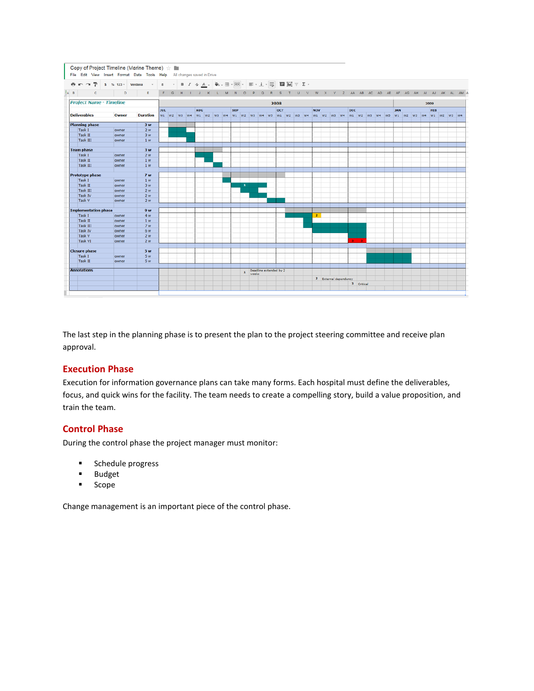|     |                                 |                             | File Edit View Insert Format Data Tools Help |       |         |                 |            |              | All changes saved in Drive |         |              |          |   |            |              |       |         |              |                        |                                                                                                                                                                                                                                                                                                                                                                                                                                                             |              |                |                       |              |          |     |           |    |            |    |    |            |      |    |                                                                                                                                                                |  |
|-----|---------------------------------|-----------------------------|----------------------------------------------|-------|---------|-----------------|------------|--------------|----------------------------|---------|--------------|----------|---|------------|--------------|-------|---------|--------------|------------------------|-------------------------------------------------------------------------------------------------------------------------------------------------------------------------------------------------------------------------------------------------------------------------------------------------------------------------------------------------------------------------------------------------------------------------------------------------------------|--------------|----------------|-----------------------|--------------|----------|-----|-----------|----|------------|----|----|------------|------|----|----------------------------------------------------------------------------------------------------------------------------------------------------------------|--|
| e   |                                 | Ŧ.<br>$\sim$                | $$ % 123 -$                                  |       | Verdana |                 | 8          |              | в                          | $I - 5$ |              | $A -$    |   |            |              |       |         |              |                        | $\frac{1}{2}\Phi_{\mathcal{B}}\cdot\text{H}\cdot\text{H}\cdot\text{H}\cdot\text{H}=\frac{1}{2}\cdot\frac{1}{2}\cdot\frac{1}{2}\cdot\frac{1}{2}\cdot\frac{1}{2}\cdot\frac{1}{2}\cdot\frac{1}{2}\cdot\frac{1}{2}\cdot\frac{1}{2}\cdot\frac{1}{2}\cdot\frac{1}{2}\cdot\frac{1}{2}\cdot\frac{1}{2}\cdot\frac{1}{2}\cdot\frac{1}{2}\cdot\frac{1}{2}\cdot\frac{1}{2}\cdot\frac{1}{2}\cdot\frac{1}{2}\cdot\frac{1}{2}\cdot\frac{1}{2}\cdot\frac{1}{2}\cdot\frac{1$ |              |                |                       |              |          |     |           |    |            |    |    |            |      |    |                                                                                                                                                                |  |
| A B |                                 | $\mathbf{C}$                |                                              | D     |         | E               | F          | $\mathbf{G}$ | H                          | п.      | $\mathbf{J}$ | $\kappa$ | M | N          | $\circ$      | P     | $\circ$ | $\mathbb{R}$ | <sub>S</sub>           | $\cup$                                                                                                                                                                                                                                                                                                                                                                                                                                                      | $\mathbf{v}$ | W              |                       | AA           | AB       | AC. | <b>AD</b> | AE | AF         | AG | AH | $\Delta I$ | AJ.  | AK | AL AM A                                                                                                                                                        |  |
|     |                                 |                             | <b>Project Name - Timeline</b>               |       |         |                 |            |              |                            |         |              |          |   |            |              |       |         |              | 2008                   |                                                                                                                                                                                                                                                                                                                                                                                                                                                             |              |                |                       |              |          |     |           |    |            |    |    |            | 2009 |    |                                                                                                                                                                |  |
|     | <b>Deliverables</b>             |                             |                                              | Owner |         | <b>Duration</b> | <b>JUL</b> |              |                            |         | <b>AUG</b>   |          |   | <b>SEP</b> |              |       |         |              | OCT                    |                                                                                                                                                                                                                                                                                                                                                                                                                                                             |              | <b>NOV</b>     |                       | <b>DEC</b>   |          |     |           |    | <b>JAN</b> |    |    |            | FEB  |    | w1  w2  w3  w4  w1  w2  w3  w4  w1  w2  w3  w4  w5  w4  w5  w1  w2  w3  w4  w1  w2  w3  w4  w1  w2  w3  w4  w5  w1  w2  w3  w4  w1  w2  w3  w4  w1  w2  w3  w4 |  |
|     |                                 |                             |                                              |       |         |                 |            |              |                            |         |              |          |   |            |              |       |         |              |                        |                                                                                                                                                                                                                                                                                                                                                                                                                                                             |              |                |                       |              |          |     |           |    |            |    |    |            |      |    |                                                                                                                                                                |  |
|     |                                 | <b>Planning phase</b>       |                                              |       |         | 3 w             |            |              |                            |         |              |          |   |            |              |       |         |              |                        |                                                                                                                                                                                                                                                                                                                                                                                                                                                             |              |                |                       |              |          |     |           |    |            |    |    |            |      |    |                                                                                                                                                                |  |
|     | Task I                          |                             |                                              | owner |         | 2w              |            |              |                            |         |              |          |   |            |              |       |         |              |                        |                                                                                                                                                                                                                                                                                                                                                                                                                                                             |              |                |                       |              |          |     |           |    |            |    |    |            |      |    |                                                                                                                                                                |  |
|     | <b>Task II</b>                  |                             |                                              | owner |         | 3 w             |            |              |                            |         |              |          |   |            |              |       |         |              |                        |                                                                                                                                                                                                                                                                                                                                                                                                                                                             |              |                |                       |              |          |     |           |    |            |    |    |            |      |    |                                                                                                                                                                |  |
|     | Task III                        |                             |                                              | owner |         | 1 <sub>w</sub>  |            |              |                            |         |              |          |   |            |              |       |         |              |                        |                                                                                                                                                                                                                                                                                                                                                                                                                                                             |              |                |                       |              |          |     |           |    |            |    |    |            |      |    |                                                                                                                                                                |  |
|     | <b>Team phase</b>               |                             |                                              |       |         | 3w              |            |              |                            |         |              |          |   |            |              |       |         |              |                        |                                                                                                                                                                                                                                                                                                                                                                                                                                                             |              |                |                       |              |          |     |           |    |            |    |    |            |      |    |                                                                                                                                                                |  |
|     | Task I                          |                             |                                              | owner |         | 2w              |            |              |                            |         |              |          |   |            |              |       |         |              |                        |                                                                                                                                                                                                                                                                                                                                                                                                                                                             |              |                |                       |              |          |     |           |    |            |    |    |            |      |    |                                                                                                                                                                |  |
|     | <b>Task II</b>                  |                             |                                              | owner |         | 1 <sub>w</sub>  |            |              |                            |         |              |          |   |            |              |       |         |              |                        |                                                                                                                                                                                                                                                                                                                                                                                                                                                             |              |                |                       |              |          |     |           |    |            |    |    |            |      |    |                                                                                                                                                                |  |
|     | <b>Task III</b>                 |                             |                                              | owner |         | 1 <sub>w</sub>  |            |              |                            |         |              |          |   |            |              |       |         |              |                        |                                                                                                                                                                                                                                                                                                                                                                                                                                                             |              |                |                       |              |          |     |           |    |            |    |    |            |      |    |                                                                                                                                                                |  |
|     |                                 | <b>Prototype phase</b>      |                                              |       |         | 7 <sub>w</sub>  |            |              |                            |         |              |          |   |            |              |       |         |              |                        |                                                                                                                                                                                                                                                                                                                                                                                                                                                             |              |                |                       |              |          |     |           |    |            |    |    |            |      |    |                                                                                                                                                                |  |
|     | Task I                          |                             |                                              | owner |         | 1 <sub>w</sub>  |            |              |                            |         |              |          |   |            |              |       |         |              |                        |                                                                                                                                                                                                                                                                                                                                                                                                                                                             |              |                |                       |              |          |     |           |    |            |    |    |            |      |    |                                                                                                                                                                |  |
|     | <b>Task II</b>                  |                             |                                              | owner |         | 3w              |            |              |                            |         |              |          |   |            | 1            |       |         |              |                        |                                                                                                                                                                                                                                                                                                                                                                                                                                                             |              |                |                       |              |          |     |           |    |            |    |    |            |      |    |                                                                                                                                                                |  |
|     | Task III                        |                             |                                              | owner |         | 2 w             |            |              |                            |         |              |          |   |            |              |       |         |              |                        |                                                                                                                                                                                                                                                                                                                                                                                                                                                             |              |                |                       |              |          |     |           |    |            |    |    |            |      |    |                                                                                                                                                                |  |
|     | <b>Task IV</b>                  |                             |                                              | owner |         | 2w              |            |              |                            |         |              |          |   |            |              |       |         |              |                        |                                                                                                                                                                                                                                                                                                                                                                                                                                                             |              |                |                       |              |          |     |           |    |            |    |    |            |      |    |                                                                                                                                                                |  |
|     | <b>Task V</b>                   |                             |                                              | owner |         | 2 w             |            |              |                            |         |              |          |   |            |              |       |         |              |                        |                                                                                                                                                                                                                                                                                                                                                                                                                                                             |              |                |                       |              |          |     |           |    |            |    |    |            |      |    |                                                                                                                                                                |  |
|     |                                 | <b>Implementation phase</b> |                                              |       |         | 9 w             |            |              |                            |         |              |          |   |            |              |       |         |              |                        |                                                                                                                                                                                                                                                                                                                                                                                                                                                             |              |                |                       |              |          |     |           |    |            |    |    |            |      |    |                                                                                                                                                                |  |
|     | Task I                          |                             |                                              | owner |         | 4 w             |            |              |                            |         |              |          |   |            |              |       |         |              |                        |                                                                                                                                                                                                                                                                                                                                                                                                                                                             |              | $\overline{2}$ |                       |              |          |     |           |    |            |    |    |            |      |    |                                                                                                                                                                |  |
|     | <b>Task II</b>                  |                             |                                              | owner |         | 1 <sub>w</sub>  |            |              |                            |         |              |          |   |            |              |       |         |              |                        |                                                                                                                                                                                                                                                                                                                                                                                                                                                             |              |                |                       |              |          |     |           |    |            |    |    |            |      |    |                                                                                                                                                                |  |
|     | <b>Task III</b>                 |                             |                                              | owner |         | 7 w             |            |              |                            |         |              |          |   |            |              |       |         |              |                        |                                                                                                                                                                                                                                                                                                                                                                                                                                                             |              |                |                       |              |          |     |           |    |            |    |    |            |      |    |                                                                                                                                                                |  |
|     | <b>Task IV</b>                  |                             |                                              | owner |         | 6 w             |            |              |                            |         |              |          |   |            |              |       |         |              |                        |                                                                                                                                                                                                                                                                                                                                                                                                                                                             |              |                |                       |              |          |     |           |    |            |    |    |            |      |    |                                                                                                                                                                |  |
|     | <b>Task V</b><br><b>Task VI</b> |                             |                                              | owner |         | 2 <sub>w</sub>  |            |              |                            |         |              |          |   |            |              |       |         |              |                        |                                                                                                                                                                                                                                                                                                                                                                                                                                                             |              |                |                       |              |          |     |           |    |            |    |    |            |      |    |                                                                                                                                                                |  |
|     |                                 |                             |                                              | owner |         | 2w              |            |              |                            |         |              |          |   |            |              |       |         |              |                        |                                                                                                                                                                                                                                                                                                                                                                                                                                                             |              |                |                       |              |          |     |           |    |            |    |    |            |      |    |                                                                                                                                                                |  |
|     |                                 | <b>Closure phase</b>        |                                              |       |         | 5 w             |            |              |                            |         |              |          |   |            |              |       |         |              |                        |                                                                                                                                                                                                                                                                                                                                                                                                                                                             |              |                |                       |              |          |     |           |    |            |    |    |            |      |    |                                                                                                                                                                |  |
|     | Task I                          |                             |                                              | owner |         | 5w              |            |              |                            |         |              |          |   |            |              |       |         |              |                        |                                                                                                                                                                                                                                                                                                                                                                                                                                                             |              |                |                       |              |          |     |           |    |            |    |    |            |      |    |                                                                                                                                                                |  |
|     | <b>Task II</b>                  |                             |                                              | owner |         | 5w              |            |              |                            |         |              |          |   |            |              |       |         |              |                        |                                                                                                                                                                                                                                                                                                                                                                                                                                                             |              |                |                       |              |          |     |           |    |            |    |    |            |      |    |                                                                                                                                                                |  |
|     | <b>Annotations</b>              |                             |                                              |       |         |                 |            |              |                            |         |              |          |   |            | $\mathbf{1}$ | weeks |         |              | Deadline extended by 2 |                                                                                                                                                                                                                                                                                                                                                                                                                                                             |              |                |                       |              |          |     |           |    |            |    |    |            |      |    |                                                                                                                                                                |  |
|     |                                 |                             |                                              |       |         |                 |            |              |                            |         |              |          |   |            |              |       |         |              |                        |                                                                                                                                                                                                                                                                                                                                                                                                                                                             |              |                | 2 External dependency |              |          |     |           |    |            |    |    |            |      |    |                                                                                                                                                                |  |
|     |                                 |                             |                                              |       |         |                 |            |              |                            |         |              |          |   |            |              |       |         |              |                        |                                                                                                                                                                                                                                                                                                                                                                                                                                                             |              |                |                       | $\mathbf{3}$ | Critical |     |           |    |            |    |    |            |      |    |                                                                                                                                                                |  |

The last step in the planning phase is to present the plan to the project steering committee and receive plan approval.

#### **Execution Phase**

Execution for information governance plans can take many forms. Each hospital must define the deliverables, focus, and quick wins for the facility. The team needs to create a compelling story, build a value proposition, and train the team.

#### **Control Phase**

During the control phase the project manager must monitor:

- **Schedule progress**
- Budget<br>■ Scope
- Scope

Change management is an important piece of the control phase.